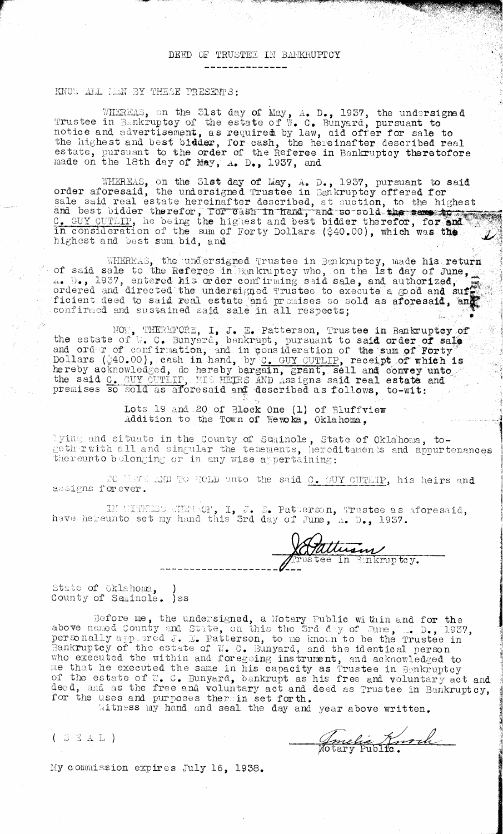## DEED OF TRUSTEE IN BANKRUPTCY

## KNOW ALL MEN BY THESE PRESENTS:

HEREAS, on the 31st Trustee in Bankruptcy of the notice and advertisement, as the highest and best bidder, *estate,* pursuant to the orde: becaus, partnamy to the order day of May, A. D., 1937, the undersigned estate of W. C. Bunyard, pursuant to required by law, aid offer for sale to for cash, the hereinafter described real r of the Referee in Bankruptcy theretofore  $A_{\bullet}$  D<sub> $\bullet$ </sub>, 1937, and

tEEAE, on the 31st day of May, A. D., 1937, pursuant to **said.** order aforesaid, the undersigned Trustee in Bankruptcy offered for sale said real estate hereinafter described, at auction, to the highest<br>and best bidder therefor, for cash in hand, and so sold the sense to C. GUY CUTLIP, he being the highest and best bidder therefor, for and in consideration of the sum of Forty Dollars (\$40.00), which was the highest and best sum bid, and

WHEREAS, the undersigned Trustee in Bankruptcy, made his return of said sale to the Referee in Bankruptcy who, on the 1st day of June, ... 1937, entered his order confirming said sale, and authorized, ordered and directed the undersigned Trustee to execute a good and suf ficient deed to said real estate and pr uses so sold as **aforesaid, an** confirmed and sustained said sale in all respects;

NOM, THEREFORE, I, J. E. Patterson, Trustee in Bankruptcy of the estate of  $V_{\bullet}$  C. Bunyard, bankrupt, pursuant to said order of sale and order of confirmation, and in consideration of the sum of **Forty** Dollars (40.00), cash in hand,, by C. GUY JTJTLIP, receipt **of which is** hereby acknowledged, do hereby bargain, grant, sell and convey unto the said C. GUY CUTLIP, HIS HETHS AND Assigns said real estate and preaises so sold as aforesaid and described as follows, **to-wit:** MOW, THERMFORE, I, J. E. Patterson, The estate of W. C. Bunyard, bankrupt, pursuant and order of confination, and in consideration Dollars (#40.00), eash in hand, by C. GUY CUTLII mereby acknowledged, do hereby bargain, g

Lots 19 and 20 of Block One (1) of Bluffview Addition to the Town **of Weka,** Oklahoma,

I ying and situate in the County of Seminole, State of Oklahoma, togives are search in the county of buniners, barcel childhoma, we all all and singular the tenements, hereditaments and appurtenances

10 FLVE AND TO HOLD unto the said <u>C. GUY CUTLIP</u>, his heirs and assigns forever.

IN WITINESS ANERACE, I, J. E. Patterson, Trustee as Aforesaid, have hereunto set my hand this 3rd day of June,  $A$ . D., 1937.

*Milliam*<br>Etee in Bakruptcy.

State of Oklahoma, County of Seminole. ) ss

Gefore me, the undersigned, a Notary Public within and for the above named County and State, on this the 3rd d y of June personally appeared J. E. Patterson, to me known to be the Trustee in Bankruptcy of the estate of W. C. Bunyard, and the identical person who executed the within and foregoing instrument, and acknowledged to me that he executed the same in his capacity as Trustee in Benkruptcy of the estate of 1. 0. Bunyard, bankrupt as his free and voluntary act and deed, and as the free and voluntary act and deed as Trustee in Bankruptcy, for the uses and purposes ther in set forth.

Witness my hand and seal the day and year above written.

(SSAL) SANCHA Hotel (COME )

My commission expires July 16, 1938.